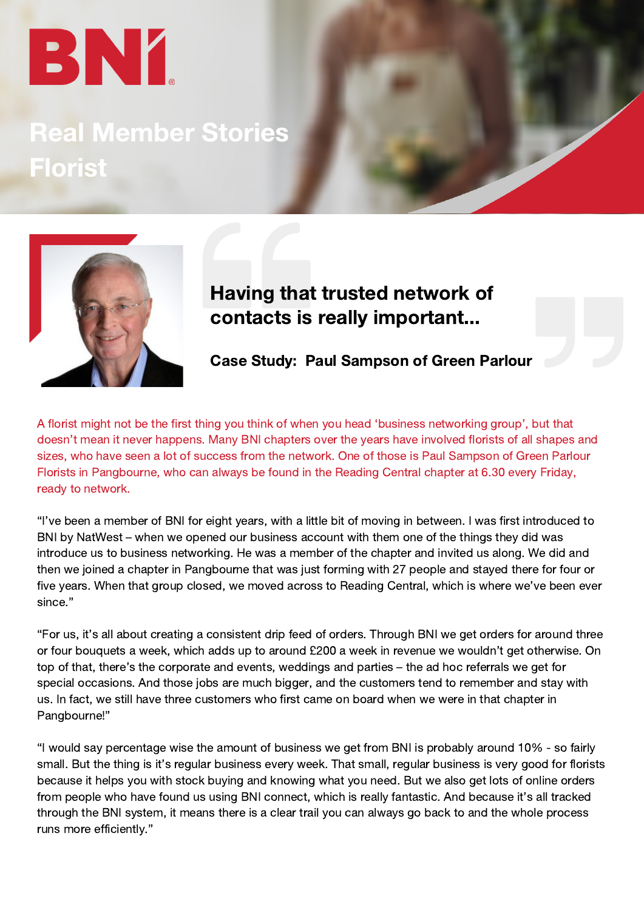# BN 1

# Real Member Stories Florist



### Having that trusted network of contacts is really important...

Case Study: Paul Sampson of Green Parlour

A florist might not be the first thing you think of when you head 'business networking group', but that doesn't mean it never happens. Many BNI chapters over the years have involved florists of all shapes and sizes, who have seen a lot of success from the network. One of those is Paul Sampson of Green Parlour Florists in Pangbourne, who can always be found in the Reading Central chapter at 6.30 every Friday, ready to network.

"I've been a member of BNI for eight years, with a little bit of moving in between. I was first introduced to BNI by NatWest – when we opened our business account with them one of the things they did was introduce us to business networking. He was a member of the chapter and invited us along. We did and then we joined a chapter in Pangbourne that was just forming with 27 people and stayed there for four or five years. When that group closed, we moved across to Reading Central, which is where we've been ever since."

"For us, it's all about creating a consistent drip feed of orders. Through BNI we get orders for around three or four bouquets a week, which adds up to around £200 a week in revenue we wouldn't get otherwise. On top of that, there's the corporate and events, weddings and parties – the ad hoc referrals we get for special occasions. And those jobs are much bigger, and the customers tend to remember and stay with us. In fact, we still have three customers who first came on board when we were in that chapter in Pangbourne!"

"I would say percentage wise the amount of business we get from BNI is probably around 10% - so fairly small. But the thing is it's regular business every week. That small, regular business is very good for florists because it helps you with stock buying and knowing what you need. But we also get lots of online orders from people who have found us using BNI connect, which is really fantastic. And because it's all tracked through the BNI system, it means there is a clear trail you can always go back to and the whole process runs more efficiently."